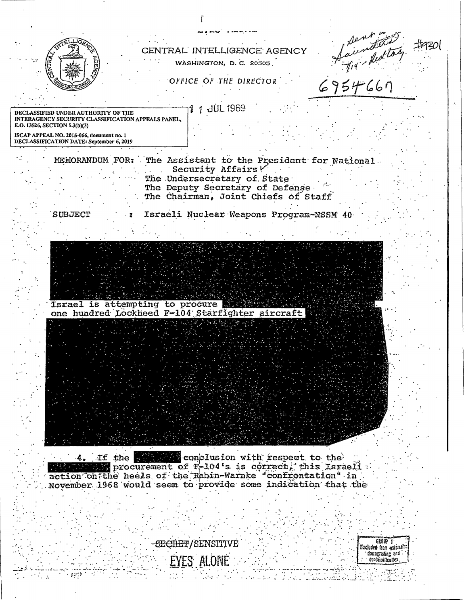| CENTRAL INTELLIGENCE AGENCY<br>WASHINGTON, D.C. 20505                                                                                                               |  |
|---------------------------------------------------------------------------------------------------------------------------------------------------------------------|--|
| OFFICE OF THE DIRECTOR                                                                                                                                              |  |
|                                                                                                                                                                     |  |
| Sentition to<br>JUL 1969<br><b>)ECLASSIFIED UNDER AUTHORITY OF THE</b><br>INTERAGENCY SECURITY CLASSIFICATION APPEALS PANEL.<br>E.O. 13526, SECTION 5.3(b)(3)       |  |
| ISCAP APPEAL NO. 2015-066, document no. 1<br>DECLASSIFICATION DATE: September 6, 2019                                                                               |  |
| The Assistant to the President for National<br>MEMORANDUM FOR:                                                                                                      |  |
| Security Affairs V<br>The Undersecretary of State                                                                                                                   |  |
| The Deputy Secretary of Defense<br>The Chairman, Joint Chiefs of Staff                                                                                              |  |
| Israeli Nuclear Weapons Program-NSSM 40<br><b>SUBJECT</b>                                                                                                           |  |
|                                                                                                                                                                     |  |
|                                                                                                                                                                     |  |
|                                                                                                                                                                     |  |
| Israel is attempting to procure<br>one hundred Lockheed F-104 Starfighter aircraft                                                                                  |  |
|                                                                                                                                                                     |  |
|                                                                                                                                                                     |  |
|                                                                                                                                                                     |  |
|                                                                                                                                                                     |  |
|                                                                                                                                                                     |  |
|                                                                                                                                                                     |  |
| 4. If the strategic conclusion with respect to the<br>procurement of F-104's is correct, this Israeli<br>action on the heels of the Rabin-Warnke "confrontation" in |  |
| November 1968 would seem to provide some indication that the                                                                                                        |  |

-SECRET/SENSITIVE

 $\mathbb{R}^n$  and

 $\ddot{\phantom{a}}$ 

Ę

Excluded from asternation<br>Excluded from asternation<br>contrasting and contrasting the contrasting contrasting the contrastion of the contrast of the contrast of the<br>contrasting of the contrast of the contrast of the contrast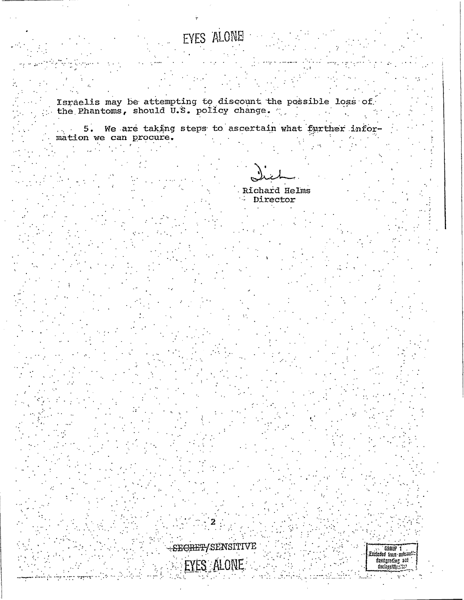## EYES ALONE

Israelis may be attempting to discount the possible loss of the Phantoms, should U.S. policy change.

5. We are taking steps to ascertain what further infor- $\hat{\rho}_{\rm{M}}$  ,  $\hat{\rho}_{\rm{M}}$ mation we can procure.

Richard Helms ÷. Director

SECRET/SENSITIVE EYES ALONE

Excluded from automatic<br>dawnsgrading and<br>docingstifically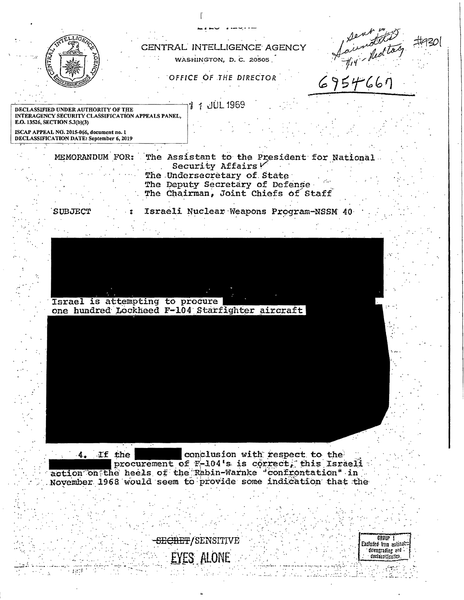

action on the heels of the Rabin-Warnke 'confrontation' in November 1968 would seem to provide some indication that the



 $\sim 14238$